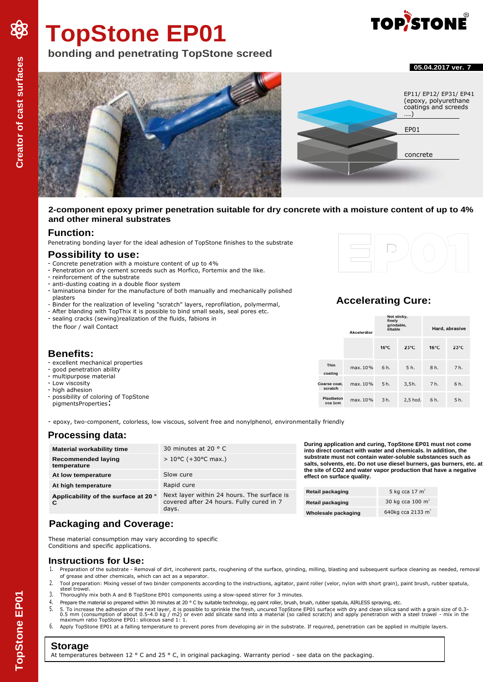# **TopStone EP01**

# **bonding and penetrating TopStone screed**





#### **2-component epoxy primer penetration suitable for dry concrete with a moisture content of up to 4% and other mineral substrates**

#### **Function:**

Penetrating bonding layer for the ideal adhesion of TopStone finishes to the substrate

#### **Possibility to use:**

- Concrete penetration with a moisture content of up to 4%
- Penetration on dry cement screeds such as Morfico, Fortemix and the like.
- reinforcement of the substrate
- anti-dusting coating in a double floor system
- laminationa binder for the manufacture of both manually and mechanically polished plasters
- Binder for the realization of leveling "scratch" layers, reprofilation, polymermal,
- After blanding with TopThix it is possible to bind small seals, seal pores etc. - sealing cracks (sewing)realization of the fluids, fabions in



# **Accelerating Cure:**

| - sealing cracks (sewing) realization of the fluids, fabions in<br>the floor / wall Contact |                         | Akcelerátor | Not sticky,<br>finely<br>grindable,<br>tiltable |                | Hard, abrasive |                |
|---------------------------------------------------------------------------------------------|-------------------------|-------------|-------------------------------------------------|----------------|----------------|----------------|
| <b>Benefits:</b>                                                                            |                         |             | $16^{\circ}$ C                                  | $23^{\circ}$ C | $16^{\circ}$ C | $23^{\circ}$ C |
| - excellent mechanical properties<br>- good penetration ability                             | <b>Thin</b><br>coating  | max, $10\%$ | 6 h.                                            | 5 h.           | 8 h.           | 7h.            |
| - multipurpose material<br>- Low viscosity<br>- high adhesion                               | Coarse coat.<br>scratch | max. 10%    | 5h.                                             | 3.5h.          | 7 h.           | 6 h.           |
| - possibility of coloring of TopStone<br>pigmentsProperties:                                | Plastbeton<br>cca 1cm   | max. 10%    | 3 h.                                            | 2,5 hod.       | 6 h.           | 5 h.           |

- epoxy, two-component, colorless, low viscous, solvent free and nonylphenol, environmentally friendly

# **Processing data:**

| <b>Material workability time</b><br>Recommended laying<br>temperature                                                                   | 30 minutes at 20 $\degree$ C<br>$> 10^{\circ}$ C (+30 $^{\circ}$ C max.) | During application and curing, TopStone EP01 must not come<br>into direct contact with water and chemicals. In addition, the<br>substrate must not contain water-soluble substances such as<br>salts, solvents, etc. Do not use diesel burners, gas burners, etc. at<br>the site of CO2 and water vapor production that have a negative<br>effect on surface quality. |                               |  |
|-----------------------------------------------------------------------------------------------------------------------------------------|--------------------------------------------------------------------------|-----------------------------------------------------------------------------------------------------------------------------------------------------------------------------------------------------------------------------------------------------------------------------------------------------------------------------------------------------------------------|-------------------------------|--|
| At low temperature                                                                                                                      | Slow cure                                                                |                                                                                                                                                                                                                                                                                                                                                                       |                               |  |
| At high temperature                                                                                                                     | Rapid cure                                                               |                                                                                                                                                                                                                                                                                                                                                                       |                               |  |
| Next layer within 24 hours. The surface is<br>Applicability of the surface at 20 °<br>covered after 24 hours. Fully cured in 7<br>days. | Retail packaging                                                         | 5 kg cca $17 \text{ m}^2$                                                                                                                                                                                                                                                                                                                                             |                               |  |
|                                                                                                                                         |                                                                          | Retail packaging                                                                                                                                                                                                                                                                                                                                                      | 30 kg cca $100 \text{ m}^2$   |  |
|                                                                                                                                         |                                                                          | Wholesale packaging                                                                                                                                                                                                                                                                                                                                                   | 640kg cca 2133 m <sup>2</sup> |  |

# **Packaging and Coverage:**

These material consumption may vary according to specific Conditions and specific applications.

#### **Instructions for Use:**

- 1. Preparation of the substrate Removal of dirt, incoherent parts, roughening of the surface, grinding, milling, blasting and subsequent surface cleaning as needed, removal of grease and other chemicals, which can act as a separator.
- 2. Tool preparation: Mixing vessel of two binder components according to the instructions, agitator, paint roller (velor, nylon with short grain), paint brush, rubber spatula, steel trowel.
- 3. Thoroughly mix both A and B TopStone EP01 components using a slow-speed stirrer for 3 minutes.
- 4. Prepare the material so prepared within 30 minutes at 20 ° C by suitable technology, eg paint roller, brush, brush, rubber spatula, AIRLESS spraying, etc.<br>5. 5. To increase the adhesion of the next laver, it is possible
- 5. 5. To increase the adhesion of the next layer, it is possible to sprinkle the fresh, uncured TopStone EP01 surface with dry and clean silica sand with a grain size of 0.3-<br>1. The samm (consumption of about 0.5-4.0 kg /
- 6. Apply TopStone EP01 at a falling temperature to prevent pores from developing air in the substrate. If required, penetration can be applied in multiple layers.

# **Storage**

At temperatures between 12 ° C and 25 ° C, in original packaging. Warranty period - see data on the packaging.